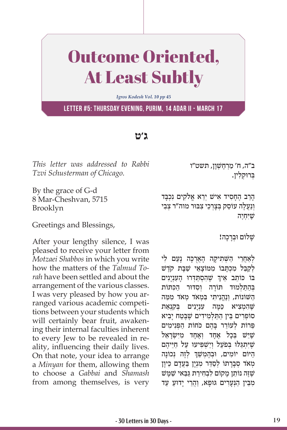## Outcome Oriented, At Least Subtly

*Igros Kodesh Vol. 10 pp 45*

**Letter #5: Thursday evening, Purim, 14 Adar II - March 17**

## **ג'ט**

*This letter was addressed to Rabbi Tzvi Schusterman of Chicago.* 

By the grace of G-d 8 Mar-Cheshvan, 5715 Brooklyn

Greetings and Blessings,

After your lengthy silence, I was pleased to receive your letter from *Motzaei Shabbos* in which you write how the matters of the *Talmud Torah* have been settled and about the arrangement of the various classes. I was very pleased by how you arranged various academic competitions between your students which will certainly bear fruit, awakening their internal faculties inherent to every Jew to be revealed in reality, influencing their daily lives. On that note, your idea to arrange a *Minyan* for them, allowing them to choose a *Gabbai* and *Shamash*  from among themselves, is very ב״ה, ח׳ מַרְחֱשָׁוַן, תשט״ו ַבְּרוּקלין.

ָהַר ֶ ב הָח ִס ִ יד א ְ ישׁ יֵר ֱא א ִלֹק ִ ים נ ְכָּבד וְנַעֲלֵה עוֹסֵק בְּצַרְכֵי צְבּוּר מוה״ר צָבִי שִׁיּחיה

שלום וּבִרכה!

לְאַחֲרֵי הַשָּׁתִיקַה הָאֲרְכָּה נַעַם לִי לְקַבֵּל מִכְתָּבוֹ מִמּוֹצָאֵי שַׁבַּת קֹדֵשׁ ָ בּוֹ כּוֹתֵב אֵיךְ שֶׁהִסְתַּדְרוּ הָעִנְיָנִים ַבְּהַת לְמוּד תּוֹרה וסדּוּר הכּתּוֹת ַה ְ שּׁ וֹ נוֹ ת, וֶנֱהֵנ ִית ִּ י ב ְמ ְ אֹד מ ִ אֹד מ ַּמה שֶׁהָמְצִיא כַּמַּה עִנְיַנִים בִּקְנָאַת ָסוֹפִרים בֵּין הִתִּלְמִידים שֵׁבַטח יביא פֵּרוֹת לִעוֹרֵר בַּהֶם כֹּחוֹת הפִּנימים שִׁיּשׁ בַּכל אַחד ואַחד מיִשׂראַל שִׁ יִתְגַלוּ בּפֹעַל וישׁפּיעוּ על חייהם ְהַיּוֹם יוֹמִים, וּבְהֶמְשֵׁךְ לְזֶה נְכוֹנָה ְמְאֹד סְבָרָתוֹ לְסַדֶּר מְנְיָן בַּעֲדָם כֵּיוַן שֶׁזֶּה נוֹתֵן מָקוֹם לְבְחִירַת גַּבַּאי שַׁמַּשׁ מִבֵּין הַנִּעַרִים גּוּפַא, וַהֲרֵי יַדוּעַ עַד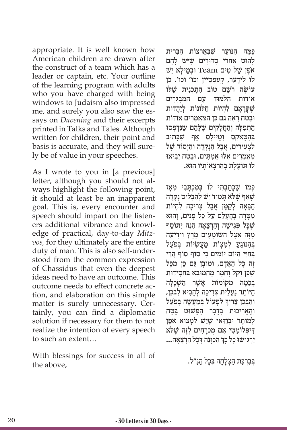appropriate. It is well known how American children are drawn after the construct of a team which has a leader or captain, etc. Your outline of the learning program with adults who you have charged with being windows to Judaism also impressed me, and surely you also saw the essays on *Davening* and their excerpts printed in Talks and Tales. Although written for children, their point and basis is accurate, and they will surely be of value in your speeches.

As I wrote to you in [a previous] letter, although you should not always highlight the following point, it should at least be an inapparent goal. This is, every encounter and speech should impart on the listeners additional vibrance and knowledge of practical, day-to-day *Mitzvos,* for they ultimately are the entire duty of man. This is also self-understood from the common expression of Chassidus that even the deepest ideas need to have an outcome. This outcome needs to effect concrete action, and elaboration on this simple matter is surely unnecessary. Certainly, you can find a diplomatic solution if necessary for them to not realize the intention of every speech to such an extent…

With blessings for success in all of the above,

ַכְּמָה הַנֹּועַר שֶׁבְאַרְצוֹת הַבְּרִית להוּט אחרי סדּוּרים שִׁיּשׁ לִהם יש Team וּבמילא יש לוֹ לִידֵער, קֵעפְּטֵיין וכו' וכו'. כֵּן ַ עוֹשׂה רֹשֵׁם טוֹב התכנית שַׁלּוֹ אוֹדוֹת הלמוּד עם המִבְגִרים שֶׁקְרָאָם לְהָיוֹת חַלּוֹנוֹת לְיַהֲדוּת ּוֶבַט ָח רָא ַּה ג ֵם כּ ַ ן ה ַּמֲאָמִרים אוֹ דוֹ ת הַתְּפִלָּה וְהַחֲלָקִים שֶׁלָּהֶם שֶׁנִּדְפְּסוּ ּבְהַטַּאקִס וְטֵיילִס אַף שֵׁכַּתוּב לצְעירים, אָבל הִנְּקִדָּה וְהִיְסוֹד שֵׁל ַמֲאָמִר ֵ ים א ּל ּו ֲ א ִמ ִּת ּ ים, וֶבַט ָח י ִב ּ יאו ּ לוֹ ת ֶוֹ עֶל ְּת בַהְרָצ ָאוֹ ת ּ יו הוא.

כּמוֹ שִׁכּתבתּי לוֹ במכתבי מאז שֵׁאַף שֵׁלֹּא תַמִיד יֵשׁ לְהַבְלִיט נִקְדַּה הבאה לִקַמַּן אֲבָל צִרְיכָה לְהָיוֹת מטרה בַהֲעָלָם על כּל פּּנים, והוא שֶׁכַּל פְּגִישָׁה וְהַרְצָאַה הָנֵּה יְתוֹסֵף מְזֶה אֱצֵל הַשׁוֹמְעִים מֵרֵץ וְידִיעַה בְּהַנּוֹגֵעַ לְמִצְוֹת מַעֲשִׂיּוֹת בְּפֹעַל ַ בַּחִיי היּוֹם יוֹמִים כּי סוֹף סוֹף הרי זָה כַּל הָאֲדַם, וּמוּבַן גֵּם כֵּן מִכַּל שֶׁכֵּן וַקל וחֹמֵר מַהמּוּבא בַחסידוּת בְּכַמַּה מִקוֹמוֹת אֲשֶׁר הַשְׂכָּלַה הַיּוֹתֵר נַעֲלֵית צִרְיכַה לְהַבִיא לְבְכֵן, ֧֧֖֖֖֖֖֖֖֧֚֚֚֚֚֚֚֚֝֝֬<u>֓</u> וְהַבְּכֵן צָרִיךְ לִפְעוֹל בְּמַעֲשֶׂה בְּפֹעַל ְוָהֲאִר ּ יכו ְּ ת בָדָב ַ ר הפָּ ּשׁ ו ֶּ ט בַטח לְמוֹתַר וּבְוַדָּאי שֶׁיֵּשׁ לְמְצוֹא אֹפֶן ִ ּדיפְּ ַלוֹ מ ִט ִ י א ֻם מ ְכָרִח ְ ים לֶזה שֶׁ ּלֹא ׇׅ֧֧֓<u>֓</u> ַיְרִגִּישׁוּ כָּל כָּךְ הַכַּוָּנָה דְּכָל הַרְצָאָה...

בִּבְרְכַּת הַצָּלָחָה בְּכַל הַנַּ"ל.